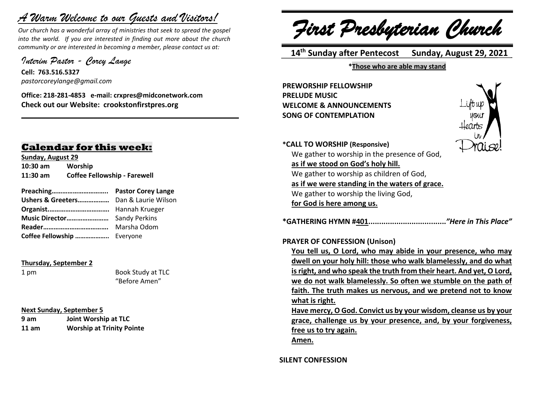# *A Warm Welcome to our Guests and Visitors!*

*Our church has a wonderful array of ministries that seek to spread the gospel into the world. If you are interested in finding out more about the church community or are interested in becoming a member, please contact us at:*

**\_\_\_\_\_\_\_\_\_\_\_\_\_\_\_\_\_\_\_\_\_\_\_\_\_\_\_\_\_\_\_\_\_\_\_\_\_\_\_\_\_\_\_\_\_\_\_\_\_\_\_\_\_\_**

*Interim Pastor - Corey Lange* 

**Cell: 763.516.5327** *pastorcoreylange@gmail.com*

**Office: 218-281-4853 e-mail: crxpres@midconetwork.com Check out our Website: crookstonfirstpres.org**

## **Calendar for this week:**

**Sunday, August 29 10:30 am Worship 11:30 am Coffee Fellowship - Farewell**

**Preaching………………………….. Pastor Corey Lange Ushers & Greeters………………** Dan & Laurie Wilson **Organist.…………………………….** Hannah Krueger **Music Director……………………** Sandy Perkins **Reader……………………………….** Marsha Odom **Coffee Fellowship ………………..** Everyone

**Thursday, September 2**

1 pm Book Study at TLC "Before Amen"

### **Next Sunday, September 5**

| 9 am  | Joint Worship at TLC             |
|-------|----------------------------------|
| 11 am | <b>Worship at Trinity Pointe</b> |

*First Presbyterian Church*

 **14 th Sunday after Pentecost Sunday, August 29, 2021**

**\*Those who are able may stand**

**PREWORSHIP FELLOWSHIP PRELUDE MUSIC WELCOME & ANNOUNCEMENTS SONG OF CONTEMPLATION**



**\*CALL TO WORSHIP (Responsive)** We gather to worship in the presence of God, **as if we stood on God's holy hill.**

We gather to worship as children of God, **as if we were standing in the waters of grace.** We gather to worship the living God, **for God is here among us.**

**\*GATHERING HYMN #401....................................***"Here in This Place"*

### **PRAYER OF CONFESSION (Unison)**

**You tell us, O Lord, who may abide in your presence, who may dwell on your holy hill: those who walk blamelessly, and do what is right, and who speak the truth from their heart. And yet, O Lord, we do not walk blamelessly. So often we stumble on the path of faith. The truth makes us nervous, and we pretend not to know what is right. Have mercy, O God. Convict us by your wisdom, cleanse us by your grace, challenge us by your presence, and, by your forgiveness, free us to try again.**

**Amen.**

**SILENT CONFESSION**